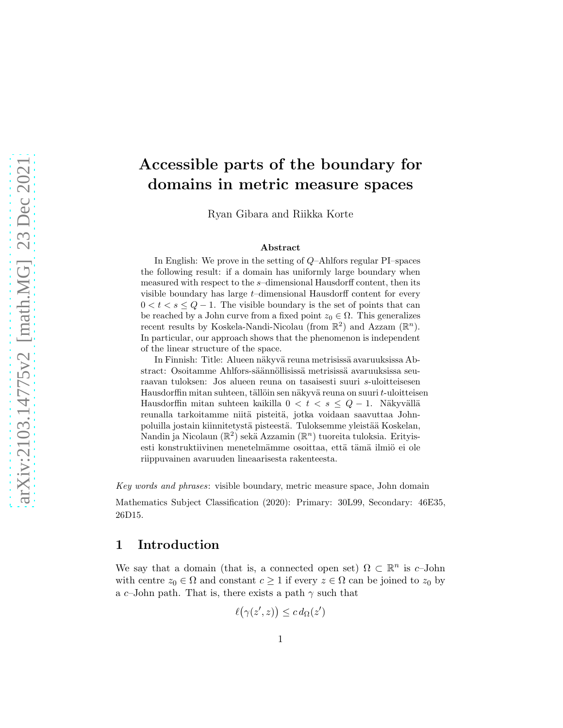# Accessible parts of the boundary for domains in metric measure spaces

Ryan Gibara and Riikka Korte

#### Abstract

In English: We prove in the setting of Q–Ahlfors regular PI–spaces the following result: if a domain has uniformly large boundary when measured with respect to the s–dimensional Hausdorff content, then its visible boundary has large  $t$ -dimensional Hausdorff content for every  $0 < t < s \le Q - 1$ . The visible boundary is the set of points that can be reached by a John curve from a fixed point  $z_0 \in \Omega$ . This generalizes recent results by Koskela-Nandi-Nicolau (from  $\mathbb{R}^2$ ) and Azzam  $(\mathbb{R}^n)$ . In particular, our approach shows that the phenomenon is independent of the linear structure of the space.

In Finnish: Title: Alueen näkyvä reuna metrisissä avaruuksissa Abstract: Osoitamme Ahlfors-säännöllisissä metrisissä avaruuksissa seuraavan tuloksen: Jos alueen reuna on tasaisesti suuri s-uloitteisesen Hausdorffin mitan suhteen, tällöin sen näkyvä reuna on suuri t-uloitteisen Hausdorffin mitan suhteen kaikilla 0 < t < s  $\leq$  Q  $-$  1. Näkyvällä reunalla tarkoitamme niitä pisteitä, jotka voidaan saavuttaa Johnpoluilla jostain kiinnitetystä pisteestä. Tuloksemme yleistää Koskelan, Nandin ja Nicolaun ( $\mathbb{R}^2$ ) sekä Azzamin ( $\mathbb{R}^n$ ) tuoreita tuloksia. Erityisesti konstruktiivinen menetelmämme osoittaa, että tämä ilmiö ei ole riippuvainen avaruuden lineaarisesta rakenteesta.

Key words and phrases: visible boundary, metric measure space, John domain

Mathematics Subject Classification (2020): Primary: 30L99, Secondary: 46E35, 26D15.

#### 1 Introduction

We say that a domain (that is, a connected open set)  $\Omega \subset \mathbb{R}^n$  is c-John with centre  $z_0 \in \Omega$  and constant  $c \geq 1$  if every  $z \in \Omega$  can be joined to  $z_0$  by a c–John path. That is, there exists a path  $\gamma$  such that

$$
\ell(\gamma(z',z)) \leq c d_{\Omega}(z')
$$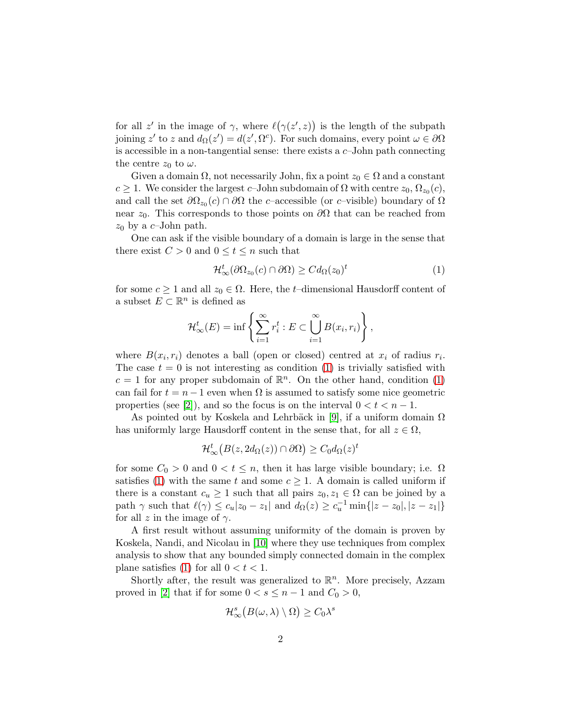for all z' in the image of  $\gamma$ , where  $\ell(\gamma(z',z))$  is the length of the subpath joining z' to z and  $d_{\Omega}(z') = d(z', \Omega^c)$ . For such domains, every point  $\omega \in \partial \Omega$ is accessible in a non-tangential sense: there exists a  $c$ -John path connecting the centre  $z_0$  to  $\omega$ .

Given a domain  $\Omega$ , not necessarily John, fix a point  $z_0 \in \Omega$  and a constant  $c \geq 1$ . We consider the largest c-John subdomain of  $\Omega$  with centre  $z_0, \Omega_{z_0}(c)$ , and call the set  $\partial\Omega_{z_0}(c) \cap \partial\Omega$  the c–accessible (or c–visible) boundary of  $\Omega$ near  $z_0$ . This corresponds to those points on  $\partial\Omega$  that can be reached from  $z_0$  by a c-John path.

One can ask if the visible boundary of a domain is large in the sense that there exist  $C > 0$  and  $0 \le t \le n$  such that

<span id="page-1-0"></span>
$$
\mathcal{H}^t_{\infty}(\partial \Omega_{z_0}(c) \cap \partial \Omega) \geq C d_{\Omega}(z_0)^t \tag{1}
$$

for some  $c \geq 1$  and all  $z_0 \in \Omega$ . Here, the t-dimensional Hausdorff content of a subset  $E \subset \mathbb{R}^n$  is defined as

$$
\mathcal{H}_{\infty}^{t}(E) = \inf \left\{ \sum_{i=1}^{\infty} r_i^t : E \subset \bigcup_{i=1}^{\infty} B(x_i, r_i) \right\},\,
$$

where  $B(x_i, r_i)$  denotes a ball (open or closed) centred at  $x_i$  of radius  $r_i$ . The case  $t = 0$  is not interesting as condition [\(1\)](#page-1-0) is trivially satisfied with  $c = 1$  for any proper subdomain of  $\mathbb{R}^n$ . On the other hand, condition [\(1\)](#page-1-0) can fail for  $t = n - 1$  even when  $\Omega$  is assumed to satisfy some nice geometric properties (see [\[2\]](#page-15-0)), and so the focus is on the interval  $0 < t < n-1$ .

As pointed out by Koskela and Lehrbäck in [\[9\]](#page-15-1), if a uniform domain  $\Omega$ has uniformly large Hausdorff content in the sense that, for all  $z \in \Omega$ ,

$$
\mathcal{H}^t_\infty\big(B(z,2d_\Omega(z))\cap\partial\Omega\big)\geq C_0d_\Omega(z)^t
$$

for some  $C_0 > 0$  and  $0 < t \leq n$ , then it has large visible boundary; i.e.  $\Omega$ satisfies [\(1\)](#page-1-0) with the same t and some  $c \geq 1$ . A domain is called uniform if there is a constant  $c_u \geq 1$  such that all pairs  $z_0, z_1 \in \Omega$  can be joined by a path  $\gamma$  such that  $\ell(\gamma) \leq c_u |z_0 - z_1|$  and  $d_{\Omega}(z) \geq c_u^{-1} \min\{|z - z_0|, |z - z_1|\}$ for all z in the image of  $\gamma$ .

A first result without assuming uniformity of the domain is proven by Koskela, Nandi, and Nicolau in [\[10\]](#page-16-0) where they use techniques from complex analysis to show that any bounded simply connected domain in the complex plane satisfies [\(1\)](#page-1-0) for all  $0 < t < 1$ .

Shortly after, the result was generalized to  $\mathbb{R}^n$ . More precisely, Azzam proved in [\[2\]](#page-15-0) that if for some  $0 < s \leq n-1$  and  $C_0 > 0$ ,

$$
\mathcal{H}_{\infty}^{s}\big(B(\omega,\lambda)\setminus\Omega\big)\geq C_{0}\lambda^{s}
$$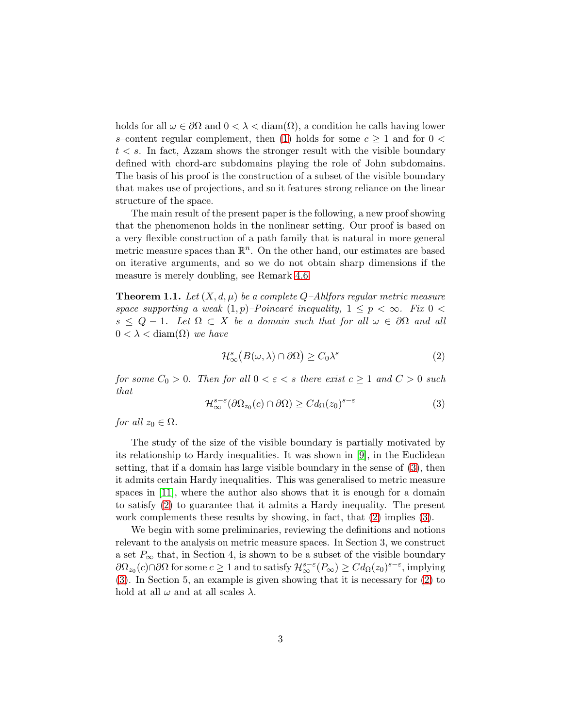holds for all  $\omega \in \partial\Omega$  and  $0 < \lambda < \text{diam}(\Omega)$ , a condition he calls having lower s–content regular complement, then [\(1\)](#page-1-0) holds for some  $c \geq 1$  and for  $0 \leq$  $t < s$ . In fact, Azzam shows the stronger result with the visible boundary defined with chord-arc subdomains playing the role of John subdomains. The basis of his proof is the construction of a subset of the visible boundary that makes use of projections, and so it features strong reliance on the linear structure of the space.

The main result of the present paper is the following, a new proof showing that the phenomenon holds in the nonlinear setting. Our proof is based on a very flexible construction of a path family that is natural in more general metric measure spaces than  $\mathbb{R}^n$ . On the other hand, our estimates are based on iterative arguments, and so we do not obtain sharp dimensions if the measure is merely doubling, see Remark [4.6.](#page-12-0)

<span id="page-2-2"></span>**Theorem 1.1.** Let  $(X, d, \mu)$  be a complete Q-Ahlfors regular metric measure space supporting a weak  $(1, p)$ –Poincaré inequality,  $1 \leq p \leq \infty$ . Fix  $0 \leq$  $s \leq Q - 1$ . Let  $\Omega \subset X$  be a domain such that for all  $\omega \in \partial \Omega$  and all  $0 < \lambda < \text{diam}(\Omega)$  we have

<span id="page-2-1"></span>
$$
\mathcal{H}_{\infty}^{s}\big(B(\omega,\lambda)\cap\partial\Omega\big)\geq C_{0}\lambda^{s}\tag{2}
$$

for some  $C_0 > 0$ . Then for all  $0 < \varepsilon < s$  there exist  $c \ge 1$  and  $C > 0$  such that

<span id="page-2-0"></span>
$$
\mathcal{H}^{s-\varepsilon}_{\infty}(\partial\Omega_{z_0}(c)\cap\partial\Omega)\geq Cd_{\Omega}(z_0)^{s-\varepsilon}
$$
\n(3)

for all  $z_0 \in \Omega$ .

The study of the size of the visible boundary is partially motivated by its relationship to Hardy inequalities. It was shown in [\[9\]](#page-15-1), in the Euclidean setting, that if a domain has large visible boundary in the sense of [\(3\)](#page-2-0), then it admits certain Hardy inequalities. This was generalised to metric measure spaces in [\[11\]](#page-16-1), where the author also shows that it is enough for a domain to satisfy [\(2\)](#page-2-1) to guarantee that it admits a Hardy inequality. The present work complements these results by showing, in fact, that  $(2)$  implies  $(3)$ .

We begin with some preliminaries, reviewing the definitions and notions relevant to the analysis on metric measure spaces. In Section 3, we construct a set  $P_{\infty}$  that, in Section 4, is shown to be a subset of the visible boundary  $\partial\Omega_{z_0}(c)\cap\partial\Omega$  for some  $c\geq 1$  and to satisfy  $\mathcal{H}^{s-\varepsilon}_{\infty}(P_{\infty})\geq Cd_{\Omega}(z_0)^{s-\varepsilon}$ , implying [\(3\)](#page-2-0). In Section 5, an example is given showing that it is necessary for [\(2\)](#page-2-1) to hold at all  $\omega$  and at all scales  $\lambda$ .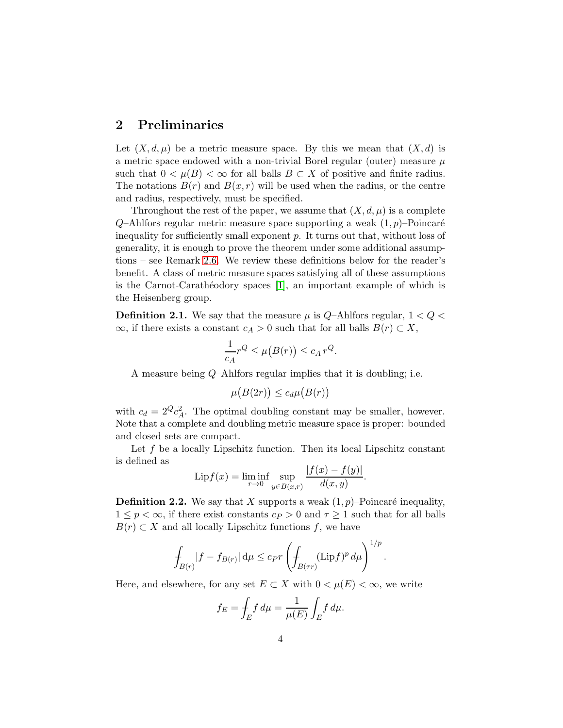### 2 Preliminaries

Let  $(X, d, \mu)$  be a metric measure space. By this we mean that  $(X, d)$  is a metric space endowed with a non-trivial Borel regular (outer) measure  $\mu$ such that  $0 < \mu(B) < \infty$  for all balls  $B \subset X$  of positive and finite radius. The notations  $B(r)$  and  $B(x, r)$  will be used when the radius, or the centre and radius, respectively, must be specified.

Throughout the rest of the paper, we assume that  $(X, d, \mu)$  is a complete  $Q$ –Ahlfors regular metric measure space supporting a weak  $(1, p)$ –Poincaré inequality for sufficiently small exponent  $p$ . It turns out that, without loss of generality, it is enough to prove the theorem under some additional assumptions – see Remark [2.6.](#page-5-0) We review these definitions below for the reader's benefit. A class of metric measure spaces satisfying all of these assumptions is the Carnot-Carathéodory spaces  $[1]$ , an important example of which is the Heisenberg group.

**Definition 2.1.** We say that the measure  $\mu$  is Q-Ahlfors regular,  $1 < Q <$  $\infty$ , if there exists a constant  $c_A > 0$  such that for all balls  $B(r) \subset X$ ,

$$
\frac{1}{c_A}r^Q \le \mu(B(r)) \le c_A r^Q.
$$

A measure being Q–Ahlfors regular implies that it is doubling; i.e.

$$
\mu\big(B(2r)\big)\leq c_d\mu\big(B(r)\big)
$$

with  $c_d = 2^Q c_A^2$ . The optimal doubling constant may be smaller, however. Note that a complete and doubling metric measure space is proper: bounded and closed sets are compact.

Let  $f$  be a locally Lipschitz function. Then its local Lipschitz constant is defined as  $|f(x) - f(x)|$ 

$$
Lipf(x) = \liminf_{r \to 0} \sup_{y \in B(x,r)} \frac{|f(x) - f(y)|}{d(x,y)}.
$$

**Definition 2.2.** We say that X supports a weak  $(1, p)$ –Poincaré inequality,  $1 \leq p < \infty$ , if there exist constants  $c_P > 0$  and  $\tau \geq 1$  such that for all balls  $B(r) \subset X$  and all locally Lipschitz functions f, we have

$$
\int_{B(r)} |f - f_{B(r)}| \, \mathrm{d}\mu \leq c_P r \left( \int_{B(rr)} (\mathrm{Lip} f)^p \, \mathrm{d}\mu \right)^{1/p}.
$$

Here, and elsewhere, for any set  $E \subset X$  with  $0 < \mu(E) < \infty$ , we write

$$
f_E = \int_E f d\mu = \frac{1}{\mu(E)} \int_E f d\mu.
$$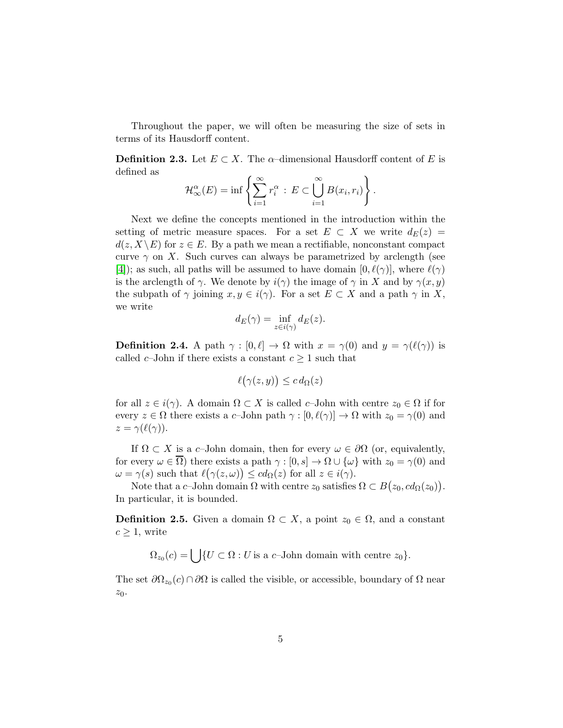Throughout the paper, we will often be measuring the size of sets in terms of its Hausdorff content.

**Definition 2.3.** Let  $E \subset X$ . The  $\alpha$ -dimensional Hausdorff content of E is defined as

$$
\mathcal{H}_{\infty}^{\alpha}(E) = \inf \left\{ \sum_{i=1}^{\infty} r_i^{\alpha} : E \subset \bigcup_{i=1}^{\infty} B(x_i, r_i) \right\}.
$$

Next we define the concepts mentioned in the introduction within the setting of metric measure spaces. For a set  $E \subset X$  we write  $d_E(z) =$  $d(z, X \setminus E)$  for  $z \in E$ . By a path we mean a rectifiable, nonconstant compact curve  $\gamma$  on X. Such curves can always be parametrized by arclength (see [\[4\]](#page-15-3)); as such, all paths will be assumed to have domain  $[0, \ell(\gamma)]$ , where  $\ell(\gamma)$ is the arclength of  $\gamma$ . We denote by  $i(\gamma)$  the image of  $\gamma$  in X and by  $\gamma(x, y)$ the subpath of  $\gamma$  joining  $x, y \in i(\gamma)$ . For a set  $E \subset X$  and a path  $\gamma$  in X, we write

$$
d_E(\gamma) = \inf_{z \in i(\gamma)} d_E(z).
$$

**Definition 2.4.** A path  $\gamma : [0, \ell] \to \Omega$  with  $x = \gamma(0)$  and  $y = \gamma(\ell(\gamma))$  is called  $c$ –John if there exists a constant  $c \geq 1$  such that

$$
\ell(\gamma(z,y)) \leq c \, d_{\Omega}(z)
$$

for all  $z \in i(\gamma)$ . A domain  $\Omega \subset X$  is called c-John with centre  $z_0 \in \Omega$  if for every  $z \in \Omega$  there exists a c-John path  $\gamma : [0, \ell(\gamma)] \to \Omega$  with  $z_0 = \gamma(0)$  and  $z = \gamma(\ell(\gamma)).$ 

If  $\Omega \subset X$  is a c–John domain, then for every  $\omega \in \partial\Omega$  (or, equivalently, for every  $\omega \in \overline{\Omega}$ ) there exists a path  $\gamma : [0, s] \to \Omega \cup \{\omega\}$  with  $z_0 = \gamma(0)$  and  $\omega = \gamma(s)$  such that  $\ell(\gamma(z,\omega)) \leq cd_{\Omega}(z)$  for all  $z \in i(\gamma)$ .

Note that a c-John domain  $\Omega$  with centre  $z_0$  satisfies  $\Omega \subset B(z_0, cd_{\Omega}(z_0))$ . In particular, it is bounded.

**Definition 2.5.** Given a domain  $\Omega \subset X$ , a point  $z_0 \in \Omega$ , and a constant  $c > 1$ , write

 $\Omega_{z_0}(c) = \bigcup \{ U \subset \Omega : U \text{ is a } c\text{-John domain with centre } z_0 \}.$ 

The set  $\partial\Omega_{z_0}(c)\cap\partial\Omega$  is called the visible, or accessible, boundary of  $\Omega$  near  $z_0$ .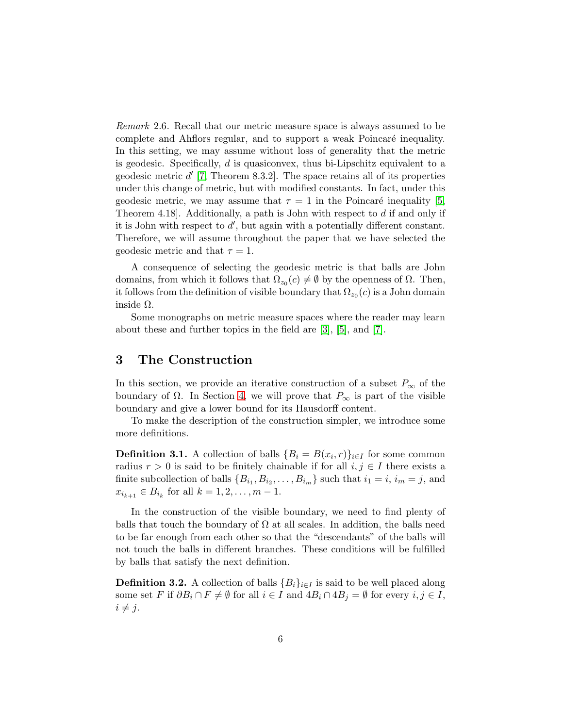<span id="page-5-0"></span>Remark 2.6. Recall that our metric measure space is always assumed to be complete and Ahflors regular, and to support a weak Poincaré inequality. In this setting, we may assume without loss of generality that the metric is geodesic. Specifically, d is quasiconvex, thus bi-Lipschitz equivalent to a geodesic metric  $d'$  [\[7,](#page-15-4) Theorem 8.3.2]. The space retains all of its properties under this change of metric, but with modified constants. In fact, under this geodesic metric, we may assume that  $\tau = 1$  in the Poincaré inequality [\[5,](#page-15-5) Theorem 4.18]. Additionally, a path is John with respect to d if and only if it is John with respect to  $d'$ , but again with a potentially different constant. Therefore, we will assume throughout the paper that we have selected the geodesic metric and that  $\tau = 1$ .

A consequence of selecting the geodesic metric is that balls are John domains, from which it follows that  $\Omega_{z_0}(c) \neq \emptyset$  by the openness of  $\Omega$ . Then, it follows from the definition of visible boundary that  $\Omega_{z_0}(c)$  is a John domain inside Ω.

Some monographs on metric measure spaces where the reader may learn about these and further topics in the field are [\[3\]](#page-15-6), [\[5\]](#page-15-5), and [\[7\]](#page-15-4).

#### <span id="page-5-1"></span>3 The Construction

In this section, we provide an iterative construction of a subset  $P_{\infty}$  of the boundary of  $\Omega$ . In Section [4,](#page-6-0) we will prove that  $P_{\infty}$  is part of the visible boundary and give a lower bound for its Hausdorff content.

To make the description of the construction simpler, we introduce some more definitions.

**Definition 3.1.** A collection of balls  ${B_i = B(x_i, r)}_{i \in I}$  for some common radius  $r > 0$  is said to be finitely chainable if for all  $i, j \in I$  there exists a finite subcollection of balls  $\{B_{i_1}, B_{i_2}, \ldots, B_{i_m}\}\$  such that  $i_1 = i$ ,  $i_m = j$ , and  $x_{i_{k+1}} \in B_{i_k}$  for all  $k = 1, 2, ..., m - 1$ .

In the construction of the visible boundary, we need to find plenty of balls that touch the boundary of  $\Omega$  at all scales. In addition, the balls need to be far enough from each other so that the "descendants" of the balls will not touch the balls in different branches. These conditions will be fulfilled by balls that satisfy the next definition.

**Definition 3.2.** A collection of balls  ${B_i}_{i \in I}$  is said to be well placed along some set F if  $\partial B_i \cap F \neq \emptyset$  for all  $i \in I$  and  $4B_i \cap 4B_j = \emptyset$  for every  $i, j \in I$ ,  $i \neq j$ .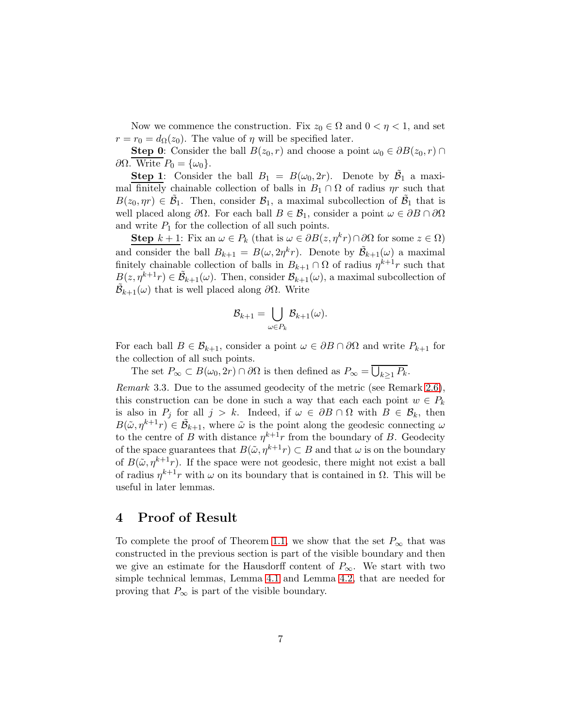Now we commence the construction. Fix  $z_0 \in \Omega$  and  $0 < \eta < 1$ , and set  $r = r_0 = d_{\Omega}(z_0)$ . The value of  $\eta$  will be specified later.

**Step 0:** Consider the ball  $B(z_0, r)$  and choose a point  $\omega_0 \in \partial B(z_0, r) \cap \partial B(z_0, r)$  $\partial\Omega$ . Write  $P_0 = {\omega_0}.$ 

**Step 1**: Consider the ball  $B_1 = B(\omega_0, 2r)$ . Denote by  $\tilde{B_1}$  a maximal finitely chainable collection of balls in  $B_1 \cap \Omega$  of radius  $\eta r$  such that  $B(z_0, \eta r) \in \tilde{\mathcal{B}}_1$ . Then, consider  $\mathcal{B}_1$ , a maximal subcollection of  $\tilde{\mathcal{B}}_1$  that is well placed along  $\partial\Omega$ . For each ball  $B \in \mathcal{B}_1$ , consider a point  $\omega \in \partial B \cap \partial \Omega$ and write  $P_1$  for the collection of all such points.

**Step**  $k + 1$ : Fix an  $\omega \in P_k$  (that is  $\omega \in \partial B(z, \eta^k r) \cap \partial \Omega$  for some  $z \in \Omega$ ) and consider the ball  $B_{k+1} = B(\omega, 2\eta^k r)$ . Denote by  $\tilde{\mathcal{B}}_{k+1}(\omega)$  a maximal finitely chainable collection of balls in  $B_{k+1} \cap \Omega$  of radius  $\eta^{k+1}r$  such that  $B(z, \eta^{k+1}r) \in \tilde{\mathcal{B}}_{k+1}(\omega)$ . Then, consider  $\mathcal{B}_{k+1}(\omega)$ , a maximal subcollection of  $\tilde{\mathcal{B}}_{k+1}(\omega)$  that is well placed along  $\partial\Omega$ . Write

$$
\mathcal{B}_{k+1} = \bigcup_{\omega \in P_k} \mathcal{B}_{k+1}(\omega).
$$

For each ball  $B \in \mathcal{B}_{k+1}$ , consider a point  $\omega \in \partial B \cap \partial \Omega$  and write  $P_{k+1}$  for the collection of all such points.

The set  $P_{\infty} \subset B(\omega_0, 2r) \cap \partial\Omega$  is then defined as  $P_{\infty} = \overline{\bigcup_{k \geq 1} P_k}$ .

Remark 3.3. Due to the assumed geodecity of the metric (see Remark [2.6\)](#page-5-0), this construction can be done in such a way that each each point  $w \in P_k$ is also in  $P_j$  for all  $j > k$ . Indeed, if  $\omega \in \partial B \cap \Omega$  with  $B \in \mathcal{B}_k$ , then  $B(\tilde{\omega}, \eta^{k+1}r) \in \tilde{\mathcal{B}}_{k+1}$ , where  $\tilde{\omega}$  is the point along the geodesic connecting  $\omega$ to the centre of B with distance  $\eta^{k+1}r$  from the boundary of B. Geodecity of the space guarantees that  $B(\tilde{\omega}, \eta^{k+1}r) \subset B$  and that  $\omega$  is on the boundary of  $B(\tilde{\omega}, \eta^{k+1}r)$ . If the space were not geodesic, there might not exist a ball of radius  $\eta^{k+1}r$  with  $\omega$  on its boundary that is contained in  $\Omega$ . This will be useful in later lemmas.

#### <span id="page-6-0"></span>4 Proof of Result

To complete the proof of Theorem [1.1,](#page-2-2) we show that the set  $P_{\infty}$  that was constructed in the previous section is part of the visible boundary and then we give an estimate for the Hausdorff content of  $P_{\infty}$ . We start with two simple technical lemmas, Lemma [4.1](#page-7-0) and Lemma [4.2,](#page-7-1) that are needed for proving that  $P_{\infty}$  is part of the visible boundary.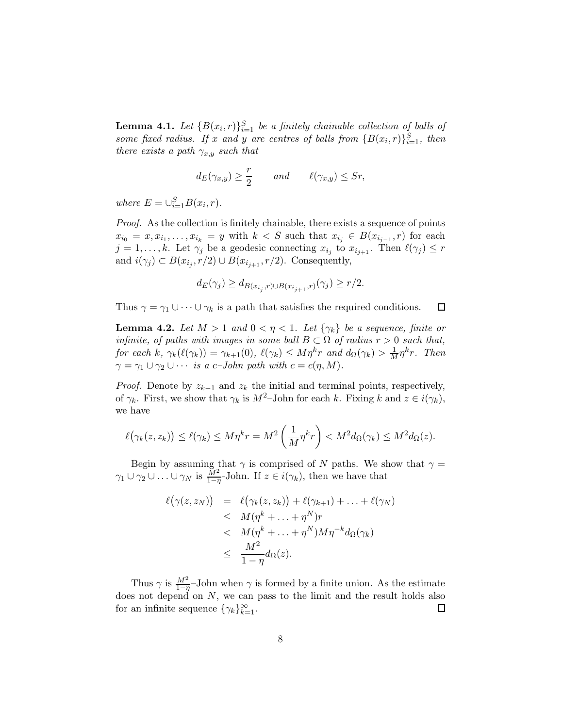<span id="page-7-0"></span>**Lemma 4.1.** Let  ${B(x_i,r)}_{i=1}^S$  be a finitely chainable collection of balls of some fixed radius. If x and y are centres of balls from  $\{B(x_i,r)\}_{i=1}^S$ , then there exists a path  $\gamma_{x,y}$  such that

$$
d_E(\gamma_{x,y}) \ge \frac{r}{2}
$$
 and  $\ell(\gamma_{x,y}) \le Sr$ ,

where  $E = \bigcup_{i=1}^{S} B(x_i, r)$ .

Proof. As the collection is finitely chainable, there exists a sequence of points  $x_{i_0} = x, x_{i_1}, \ldots, x_{i_k} = y$  with  $k < S$  such that  $x_{i_j} \in B(x_{i_{j-1}}, r)$  for each  $j = 1, \ldots, k$ . Let  $\gamma_j$  be a geodesic connecting  $x_{i_j}$  to  $x_{i_{j+1}}$ . Then  $\ell(\gamma_j) \leq r$ and  $i(\gamma_j) \subset B(x_{i_j}, r/2) \cup B(x_{i_{j+1}}, r/2)$ . Consequently,

$$
d_E(\gamma_j) \ge d_{B(x_{i_j}, r) \cup B(x_{i_{j+1}}, r)}(\gamma_j) \ge r/2.
$$

Thus  $\gamma = \gamma_1 \cup \cdots \cup \gamma_k$  is a path that satisfies the required conditions.  $\Box$ 

<span id="page-7-1"></span>**Lemma 4.2.** Let  $M > 1$  and  $0 < \eta < 1$ . Let  $\{\gamma_k\}$  be a sequence, finite or infinite, of paths with images in some ball  $B \subset \Omega$  of radius  $r > 0$  such that, for each k,  $\gamma_k(\ell(\gamma_k)) = \gamma_{k+1}(0)$ ,  $\ell(\gamma_k) \leq M\eta^k r$  and  $d_{\Omega}(\gamma_k) > \frac{1}{M}\eta^k r$ . Then  $\gamma = \gamma_1 \cup \gamma_2 \cup \cdots$  is a c-John path with  $c = c(\eta, M)$ .

*Proof.* Denote by  $z_{k-1}$  and  $z_k$  the initial and terminal points, respectively, of  $\gamma_k$ . First, we show that  $\gamma_k$  is  $M^2$ –John for each k. Fixing k and  $z \in i(\gamma_k)$ , we have

$$
\ell(\gamma_k(z,z_k)) \leq \ell(\gamma_k) \leq M\eta^k r = M^2\left(\frac{1}{M}\eta^k r\right) < M^2 d_{\Omega}(\gamma_k) \leq M^2 d_{\Omega}(z).
$$

Begin by assuming that  $\gamma$  is comprised of N paths. We show that  $\gamma =$  $\gamma_1 \cup \gamma_2 \cup \ldots \cup \gamma_N$  is  $\frac{M^2}{1-\eta}$ -John. If  $z \in i(\gamma_k)$ , then we have that

$$
\ell(\gamma(z, z_N)) = \ell(\gamma_k(z, z_k)) + \ell(\gamma_{k+1}) + \ldots + \ell(\gamma_N)
$$
  
\n
$$
\leq M(\eta^k + \ldots + \eta^N)r
$$
  
\n
$$
< M(\eta^k + \ldots + \eta^N)M\eta^{-k}d_{\Omega}(\gamma_k)
$$
  
\n
$$
\leq \frac{M^2}{1 - \eta}d_{\Omega}(z).
$$

Thus  $\gamma$  is  $\frac{M^2}{1-\eta}$ -John when  $\gamma$  is formed by a finite union. As the estimate does not depend on  $N$ , we can pass to the limit and the result holds also for an infinite sequence  $\{\gamma_k\}_{k=1}^{\infty}$ . □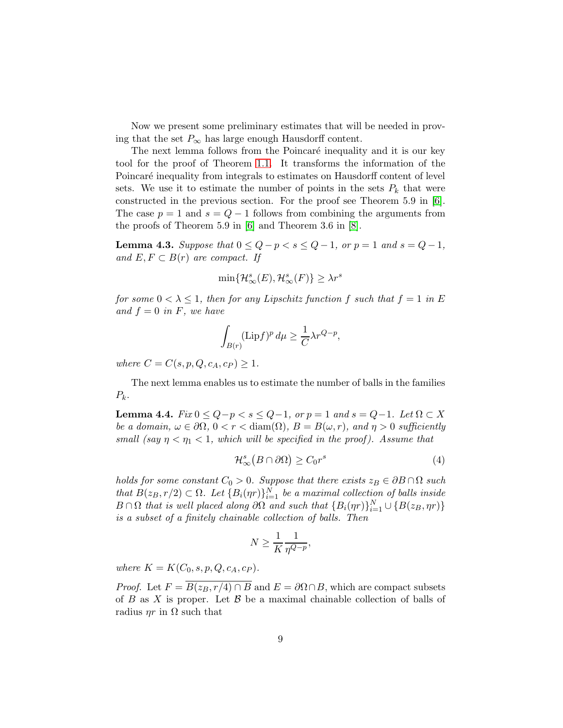Now we present some preliminary estimates that will be needed in proving that the set  $P_{\infty}$  has large enough Hausdorff content.

The next lemma follows from the Poincaré inequality and it is our key tool for the proof of Theorem [1.1.](#page-2-2) It transforms the information of the Poincaré inequality from integrals to estimates on Hausdorff content of level sets. We use it to estimate the number of points in the sets  $P_k$  that were constructed in the previous section. For the proof see Theorem 5.9 in [\[6\]](#page-15-7). The case  $p = 1$  and  $s = Q - 1$  follows from combining the arguments from the proofs of Theorem 5.9 in [\[6\]](#page-15-7) and Theorem 3.6 in [\[8\]](#page-15-8).

<span id="page-8-0"></span>**Lemma 4.3.** Suppose that  $0 \le Q - p < s \le Q - 1$ , or  $p = 1$  and  $s = Q - 1$ , and  $E, F \subset B(r)$  are compact. If

$$
\min\{\mathcal{H}^s_\infty(E),\mathcal{H}^s_\infty(F)\}\geq \lambda r^s
$$

for some  $0 < \lambda \leq 1$ , then for any Lipschitz function f such that  $f = 1$  in E and  $f = 0$  in F, we have

$$
\int_{B(r)} (\operatorname{Lip} f)^p \, d\mu \geq \frac{1}{C} \lambda r^{Q-p},
$$

where  $C = C(s, p, Q, c_A, c_P) \ge 1$ .

The next lemma enables us to estimate the number of balls in the families  $P_k$ .

<span id="page-8-1"></span>**Lemma 4.4.**  $Fix\ 0 \leq Q-p < s \leq Q-1$ , or  $p=1$  and  $s=Q-1$ . Let  $\Omega \subset X$ be a domain,  $\omega \in \partial\Omega$ ,  $0 < r <$  diam( $\Omega$ ),  $B = B(\omega, r)$ , and  $\eta > 0$  sufficiently small (say  $\eta < \eta_1 < 1$ , which will be specified in the proof). Assume that

<span id="page-8-2"></span>
$$
\mathcal{H}_{\infty}^{s}(B \cap \partial \Omega) \ge C_0 r^s \tag{4}
$$

holds for some constant  $C_0 > 0$ . Suppose that there exists  $z_B \in \partial B \cap \Omega$  such that  $B(z_B, r/2) \subset \Omega$ . Let  $\{B_i(\eta r)\}_{i=1}^N$  be a maximal collection of balls inside  $B \cap \Omega$  that is well placed along  $\partial \Omega$  and such that  $\{B_i(\eta r)\}_{i=1}^N \cup \{B(z_B, \eta r)\}$ is a subset of a finitely chainable collection of balls. Then

$$
N \ge \frac{1}{K} \frac{1}{\eta^{Q-p}},
$$

where  $K = K(C_0, s, p, Q, c_A, c_P)$ .

*Proof.* Let  $F = \overline{B(z_B, r/4) \cap B}$  and  $E = \partial \Omega \cap B$ , which are compact subsets of  $B$  as  $X$  is proper. Let  $B$  be a maximal chainable collection of balls of radius  $\eta r$  in  $\Omega$  such that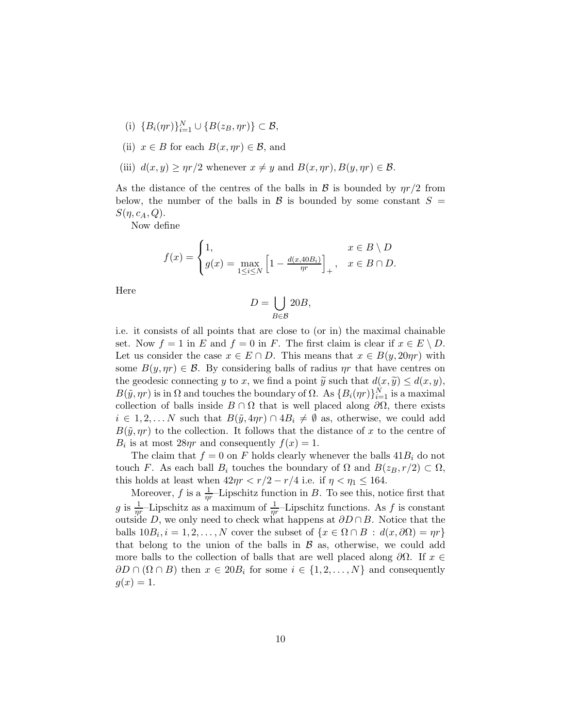- (i)  ${B_i(\eta r)}_{i=1}^N \cup {B(z_B, \eta r)} \subset \mathcal{B}$ ,
- (ii)  $x \in B$  for each  $B(x, \eta r) \in \mathcal{B}$ , and
- (iii)  $d(x, y) \ge \eta r/2$  whenever  $x \neq y$  and  $B(x, \eta r), B(y, \eta r) \in \mathcal{B}$ .

As the distance of the centres of the balls in B is bounded by  $\eta r/2$  from below, the number of the balls in  $\mathcal{B}$  is bounded by some constant  $S =$  $S(\eta, c_A, Q).$ 

Now define

$$
f(x) = \begin{cases} 1, & x \in B \setminus D \\ g(x) = \max_{1 \le i \le N} \left[ 1 - \frac{d(x, 40B_i)}{\eta r} \right]_+, & x \in B \cap D. \end{cases}
$$

Here

$$
D = \bigcup_{B \in \mathcal{B}} 20B,
$$

i.e. it consists of all points that are close to (or in) the maximal chainable set. Now  $f = 1$  in E and  $f = 0$  in F. The first claim is clear if  $x \in E \setminus D$ . Let us consider the case  $x \in E \cap D$ . This means that  $x \in B(y, 20\eta r)$  with some  $B(y, \eta r) \in \mathcal{B}$ . By considering balls of radius  $\eta r$  that have centres on the geodesic connecting y to x, we find a point  $\widetilde{y}$  such that  $d(x, \widetilde{y}) \leq d(x, y)$ ,  $B(\tilde{y}, \eta r)$  is in  $\Omega$  and touches the boundary of  $\Omega$ . As  $\{B_i(\eta r)\}_{i=1}^N$  is a maximal collection of balls inside  $B \cap \Omega$  that is well placed along  $\partial\Omega$ , there exists  $i \in 1, 2, \ldots N$  such that  $B(\tilde{y}, 4\eta r) \cap 4B_i \neq \emptyset$  as, otherwise, we could add  $B(\tilde{y}, \eta r)$  to the collection. It follows that the distance of x to the centre of  $B_i$  is at most  $28\eta r$  and consequently  $f(x) = 1$ .

The claim that  $f = 0$  on F holds clearly whenever the balls  $41B_i$  do not touch F. As each ball  $B_i$  touches the boundary of  $\Omega$  and  $B(z_B, r/2) \subset \Omega$ , this holds at least when  $42\eta r < r/2 - r/4$  i.e. if  $\eta < \eta_1 \leq 164$ .

Moreover, f is a  $\frac{1}{\eta r}$ -Lipschitz function in B. To see this, notice first that g is  $\frac{1}{\eta r}$ -Lipschitz as a maximum of  $\frac{1}{\eta r}$ -Lipschitz functions. As f is constant outside D, we only need to check what happens at  $\partial D \cap B$ . Notice that the balls  $10B_i$ ,  $i = 1, 2, ..., N$  cover the subset of  $\{x \in \Omega \cap B : d(x, \partial \Omega) = \eta r\}$ that belong to the union of the balls in  $\beta$  as, otherwise, we could add more balls to the collection of balls that are well placed along  $\partial\Omega$ . If  $x \in$  $\partial D \cap (\Omega \cap B)$  then  $x \in 20B_i$  for some  $i \in \{1, 2, ..., N\}$  and consequently  $g(x) = 1.$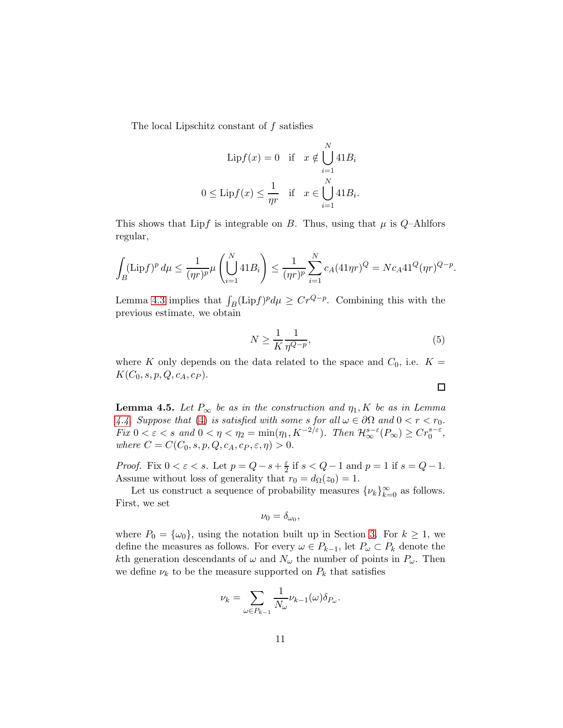The local Lipschitz constant of  $f$  satisfies

$$
\text{Lip}f(x) = 0 \quad \text{if} \quad x \notin \bigcup_{i=1}^{N} 41B_i
$$

$$
0 \le \text{Lip}f(x) \le \frac{1}{\eta r} \quad \text{if} \quad x \in \bigcup_{i=1}^{N} 41B_i.
$$

This shows that Lipf is integrable on B. Thus, using that  $\mu$  is Q-Ahlfors regular,

$$
\int_B (\text{Lip} f)^p \, d\mu \le \frac{1}{(\eta r)^p} \mu \left( \bigcup_{i=1}^N 41 B_i \right) \le \frac{1}{(\eta r)^p} \sum_{i=1}^N c_A (41 \eta r)^Q = N c_A 41^Q (\eta r)^{Q-p}.
$$

Lemma [4.3](#page-8-0) implies that  $\int_B (\text{Lip} f)^p d\mu \ge Cr^{Q-p}$ . Combining this with the previous estimate, we obtain

$$
N \ge \frac{1}{K} \frac{1}{\eta^{Q-p}},\tag{5}
$$

 $\Box$ 

where K only depends on the data related to the space and  $C_0$ , i.e.  $K =$  $K(C_0, s, p, Q, c_A, c_P).$ 

<span id="page-10-0"></span>**Lemma 4.5.** Let  $P_{\infty}$  be as in the construction and  $\eta_1, K$  be as in Lemma [4.4.](#page-8-1) Suppose that [\(4\)](#page-8-2) is satisfied with some s for all  $\omega \in \partial \Omega$  and  $0 < r < r_0$ . Fix  $0 < \varepsilon < s$  and  $0 < \eta < \eta_2 = \min(\eta_1, K^{-2/\varepsilon})$ . Then  $\mathcal{H}_{\infty}^{s-\varepsilon}(P_{\infty}) \geq Cr_0^{s-\varepsilon}$ , where  $C = C(C_0, s, p, Q, c_A, c_P, \varepsilon, \eta) > 0.$ 

*Proof.* Fix  $0 < \varepsilon < s$ . Let  $p = Q - s + \frac{\varepsilon}{2}$  $\frac{\varepsilon}{2}$  if  $s < Q-1$  and  $p = 1$  if  $s = Q-1$ . Assume without loss of generality that  $r_0 = d_{\Omega}(z_0) = 1$ .

Let us construct a sequence of probability measures  $\{\nu_k\}_{k=0}^{\infty}$  as follows. First, we set

$$
\nu_0=\delta_{\omega_0},
$$

where  $P_0 = {\omega_0}$ , using the notation built up in Section [3.](#page-5-1) For  $k \ge 1$ , we define the measures as follows. For every  $\omega \in P_{k-1}$ , let  $P_{\omega} \subset P_k$  denote the kth generation descendants of  $\omega$  and  $N_{\omega}$  the number of points in  $P_{\omega}$ . Then we define  $\nu_k$  to be the measure supported on  $P_k$  that satisfies

$$
\nu_k = \sum_{\omega \in P_{k-1}} \frac{1}{N_{\omega}} \nu_{k-1}(\omega) \delta_{P_{\omega}}.
$$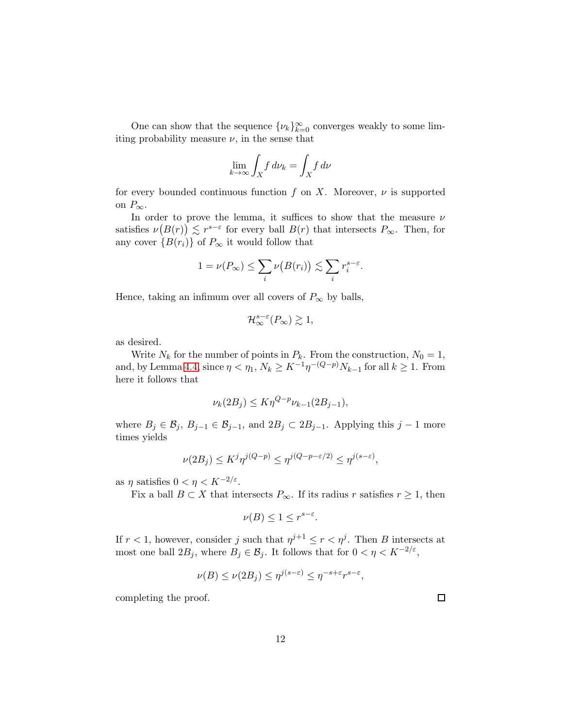One can show that the sequence  $\{\nu_k\}_{k=0}^{\infty}$  converges weakly to some limiting probability measure  $\nu$ , in the sense that

$$
\lim_{k \to \infty} \int_X f \, d\nu_k = \int_X f \, d\nu
$$

for every bounded continuous function f on X. Moreover,  $\nu$  is supported on  $P_{\infty}$ .

In order to prove the lemma, it suffices to show that the measure  $\nu$ satisfies  $\nu(B(r)) \lesssim r^{s-\varepsilon}$  for every ball  $B(r)$  that intersects  $P_{\infty}$ . Then, for any cover  ${B(r_i)}$  of  $P_\infty$  it would follow that

$$
1 = \nu(P_{\infty}) \le \sum_{i} \nu(B(r_i)) \lesssim \sum_{i} r_i^{s-\varepsilon}.
$$

Hence, taking an infimum over all covers of  $P_{\infty}$  by balls,

$$
\mathcal{H}_{\infty}^{s-\varepsilon}(P_{\infty}) \gtrsim 1,
$$

as desired.

Write  $N_k$  for the number of points in  $P_k$ . From the construction,  $N_0 = 1$ , and, by Lemma [4.4,](#page-8-1) since  $\eta < \eta_1, N_k \geq K^{-1} \eta^{-(Q-p)} N_{k-1}$  for all  $k \geq 1$ . From here it follows that

$$
\nu_k(2B_j) \le K \eta^{Q-p} \nu_{k-1}(2B_{j-1}),
$$

where  $B_j \in \mathcal{B}_j$ ,  $B_{j-1} \in \mathcal{B}_{j-1}$ , and  $2B_j \subset 2B_{j-1}$ . Applying this  $j-1$  more times yields

$$
\nu(2B_j) \le K^j \eta^{j(Q-p)} \le \eta^{j(Q-p-\varepsilon/2)} \le \eta^{j(s-\varepsilon)},
$$

as  $\eta$  satisfies  $0 < \eta < K^{-2/\varepsilon}$ .

Fix a ball  $B \subset X$  that intersects  $P_{\infty}$ . If its radius r satisfies  $r \geq 1$ , then

$$
\nu(B) \le 1 \le r^{s-\varepsilon}.
$$

If  $r < 1$ , however, consider j such that  $\eta^{j+1} \le r < \eta^j$ . Then B intersects at most one ball  $2B_j$ , where  $B_j \in \mathcal{B}_j$ . It follows that for  $0 < \eta < K^{-2/\varepsilon}$ ,

$$
\nu(B) \le \nu(2B_j) \le \eta^{j(s-\varepsilon)} \le \eta^{-s+\varepsilon} r^{s-\varepsilon},
$$

completing the proof.

 $\Box$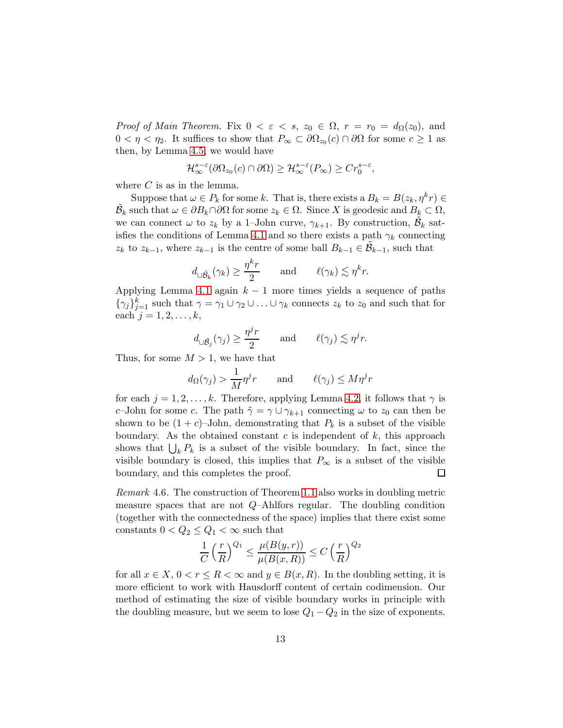*Proof of Main Theorem.* Fix  $0 < \varepsilon < s$ ,  $z_0 \in \Omega$ ,  $r = r_0 = d_{\Omega}(z_0)$ , and  $0 < \eta < \eta_2$ . It suffices to show that  $P_{\infty} \subset \partial \Omega_{z_0}(c) \cap \partial \Omega$  for some  $c \ge 1$  as then, by Lemma [4.5,](#page-10-0) we would have

$$
\mathcal{H}_{\infty}^{s-\varepsilon}(\partial\Omega_{z_0}(c)\cap\partial\Omega)\geq\mathcal{H}_{\infty}^{s-\varepsilon}(P_{\infty})\geq Cr_0^{s-\varepsilon},
$$

where  $C$  is as in the lemma.

Suppose that  $\omega \in P_k$  for some k. That is, there exists a  $B_k = B(z_k, \eta^k r) \in$  $\tilde{\mathcal{B}}_k$  such that  $\omega \in \partial B_k \cap \partial \Omega$  for some  $z_k \in \Omega$ . Since X is geodesic and  $B_k \subset \Omega$ , we can connect  $\omega$  to  $z_k$  by a 1–John curve,  $\gamma_{k+1}$ . By construction,  $\tilde{\mathcal{B}}_k$  sat-isfies the conditions of Lemma [4.1](#page-7-0) and so there exists a path  $\gamma_k$  connecting  $z_k$  to  $z_{k-1}$ , where  $z_{k-1}$  is the centre of some ball  $B_{k-1} \in \tilde{\mathcal{B}}_{k-1}$ , such that

$$
d_{\cup \tilde{\mathcal{B}}_k}(\gamma_k) \ge \frac{\eta^k r}{2}
$$
 and  $\ell(\gamma_k) \lesssim \eta^k r$ .

Applying Lemma [4.1](#page-7-0) again  $k - 1$  more times yields a sequence of paths  ${\{\gamma_j\}}_{j=1}^k$  such that  $\gamma = \gamma_1 \cup \gamma_2 \cup \ldots \cup \gamma_k$  connects  $z_k$  to  $z_0$  and such that for each  $j = 1, 2, \ldots, k$ ,

$$
d_{\cup \tilde{\mathcal{B}}_j}(\gamma_j) \geq \frac{\eta^j r}{2}
$$
 and  $\ell(\gamma_j) \lesssim \eta^j r$ .

Thus, for some  $M > 1$ , we have that

$$
d_{\Omega}(\gamma_j) > \frac{1}{M} \eta^j r
$$
 and  $\ell(\gamma_j) \le M \eta^j r$ 

for each  $j = 1, 2, \ldots, k$ . Therefore, applying Lemma [4.2,](#page-7-1) it follows that  $\gamma$  is c–John for some c. The path  $\tilde{\gamma} = \gamma \cup \gamma_{k+1}$  connecting  $\omega$  to  $z_0$  can then be shown to be  $(1+c)$ –John, demonstrating that  $P_k$  is a subset of the visible boundary. As the obtained constant c is independent of  $k$ , this approach shows that  $\bigcup_k P_k$  is a subset of the visible boundary. In fact, since the visible boundary is closed, this implies that  $P_{\infty}$  is a subset of the visible boundary, and this completes the proof.  $\Box$ 

<span id="page-12-0"></span>Remark 4.6. The construction of Theorem [1.1](#page-2-2) also works in doubling metric measure spaces that are not  $Q$ –Ahlfors regular. The doubling condition (together with the connectedness of the space) implies that there exist some constants  $0 < Q_2 \leq Q_1 < \infty$  such that

$$
\frac{1}{C} \left(\frac{r}{R}\right)^{Q_1} \le \frac{\mu(B(y, r))}{\mu(B(x, R))} \le C \left(\frac{r}{R}\right)^{Q_2}
$$

for all  $x \in X$ ,  $0 < r \leq R < \infty$  and  $y \in B(x, R)$ . In the doubling setting, it is more efficient to work with Hausdorff content of certain codimension. Our method of estimating the size of visible boundary works in principle with the doubling measure, but we seem to lose  $Q_1 - Q_2$  in the size of exponents.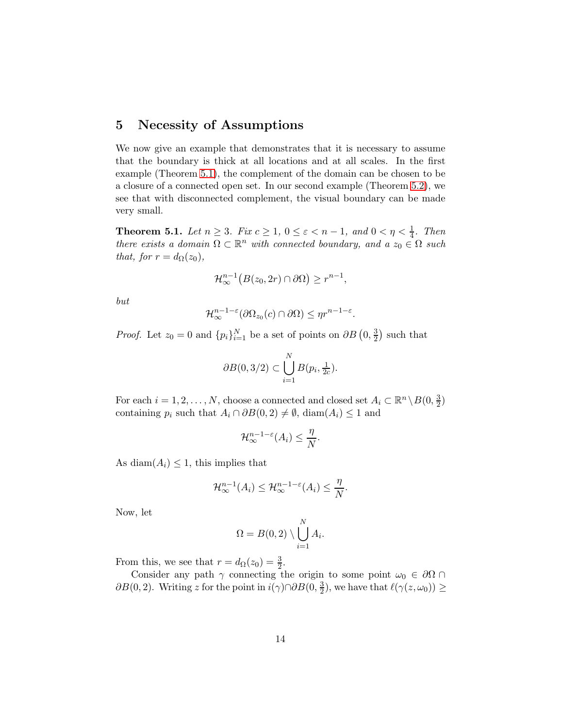## 5 Necessity of Assumptions

We now give an example that demonstrates that it is necessary to assume that the boundary is thick at all locations and at all scales. In the first example (Theorem [5.1\)](#page-13-0), the complement of the domain can be chosen to be a closure of a connected open set. In our second example (Theorem [5.2\)](#page-14-0), we see that with disconnected complement, the visual boundary can be made very small.

<span id="page-13-0"></span>**Theorem 5.1.** Let  $n \geq 3$ . Fix  $c \geq 1$ ,  $0 \leq \varepsilon < n-1$ , and  $0 < \eta < \frac{1}{4}$ . Then there exists a domain  $\Omega \subset \mathbb{R}^n$  with connected boundary, and a  $z_0 \in \Omega$  such that, for  $r = d_{\Omega}(z_0)$ ,

$$
\mathcal{H}_{\infty}^{n-1}\big(B(z_0, 2r) \cap \partial \Omega\big) \geq r^{n-1},
$$

but

$$
\mathcal{H}_{\infty}^{n-1-\varepsilon}(\partial\Omega_{z_0}(c)\cap\partial\Omega)\leq \eta r^{n-1-\varepsilon}.
$$

*Proof.* Let  $z_0 = 0$  and  $\{p_i\}_{i=1}^N$  be a set of points on  $\partial B(0, \frac{3}{2})$  $\frac{3}{2}$ ) such that

$$
\partial B(0,3/2) \subset \bigcup_{i=1}^N B(p_i,\tfrac{1}{2c}).
$$

For each  $i = 1, 2, ..., N$ , choose a connected and closed set  $A_i \subset \mathbb{R}^n \setminus B(0, \frac{3}{2})$  $\frac{3}{2}$ containing  $p_i$  such that  $A_i \cap \partial B(0, 2) \neq \emptyset$ , diam $(A_i) \leq 1$  and

$$
\mathcal{H}_{\infty}^{n-1-\varepsilon}(A_i) \leq \frac{\eta}{N}.
$$

As diam( $A_i$ )  $\leq$  1, this implies that

$$
\mathcal{H}_{\infty}^{n-1}(A_i) \leq \mathcal{H}_{\infty}^{n-1-\varepsilon}(A_i) \leq \frac{\eta}{N}.
$$

Now, let

$$
\Omega = B(0,2) \setminus \bigcup_{i=1}^N A_i.
$$

From this, we see that  $r = d_{\Omega}(z_0) = \frac{3}{2}$ .

Consider any path  $\gamma$  connecting the origin to some point  $\omega_0 \in \partial\Omega \cap$  $\partial B(0, 2)$ . Writing z for the point in  $i(\gamma) \cap \partial B(0, \frac{3}{2})$  $(\frac{3}{2})$ , we have that  $\ell(\gamma(z,\omega_0)) \geq$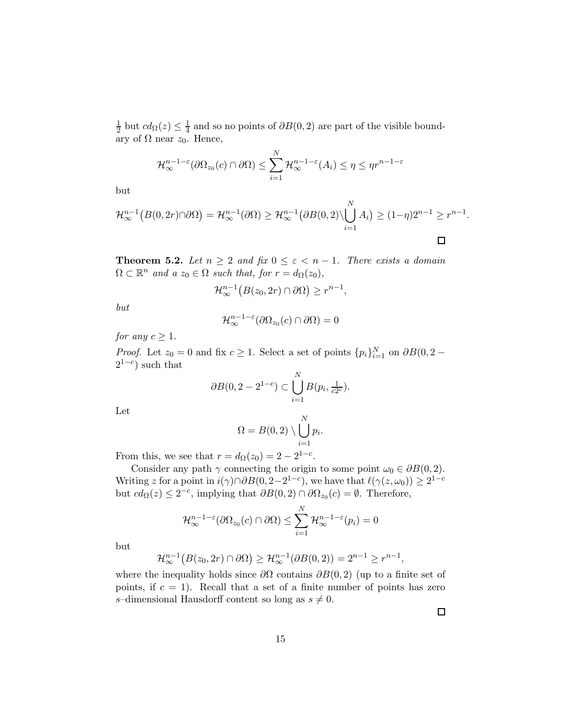1  $\frac{1}{2}$  but  $cd_{\Omega}(z) \leq \frac{1}{4}$  $\frac{1}{4}$  and so no points of  $\partial B(0,2)$  are part of the visible boundary of  $Ω$  near  $z_0$ . Hence,

$$
\mathcal{H}_{\infty}^{n-1-\epsilon}(\partial\Omega_{z_0}(c)\cap\partial\Omega)\leq \sum_{i=1}^N\mathcal{H}_{\infty}^{n-1-\epsilon}(A_i)\leq \eta\leq \eta r^{n-1-\epsilon}
$$

but

$$
\mathcal{H}_{\infty}^{n-1}(B(0,2r)\cap\partial\Omega)=\mathcal{H}_{\infty}^{n-1}(\partial\Omega)\geq\mathcal{H}_{\infty}^{n-1}\big(\partial B(0,2)\setminus\bigcup_{i=1}^{N}A_{i}\big)\geq(1-\eta)2^{n-1}\geq r^{n-1}
$$

<span id="page-14-0"></span>**Theorem 5.2.** Let  $n \geq 2$  and fix  $0 \leq \varepsilon < n-1$ . There exists a domain  $\Omega \subset \mathbb{R}^n$  and  $a z_0 \in \Omega$  such that, for  $r = d_{\Omega}(z_0)$ ,

$$
\mathcal{H}_{\infty}^{n-1}\big(B(z_0, 2r) \cap \partial \Omega\big) \geq r^{n-1},
$$

but

$$
\mathcal{H}_{\infty}^{n-1-\varepsilon}(\partial\Omega_{z_0}(c)\cap\partial\Omega)=0
$$

for any  $c \geq 1$ .

*Proof.* Let  $z_0 = 0$  and fix  $c \ge 1$ . Select a set of points  $\{p_i\}_{i=1}^N$  on  $\partial B(0, 2 2^{1-c}$ ) such that

$$
\partial B(0, 2 - 2^{1-c}) \subset \bigcup_{i=1}^{N} B(p_i, \frac{1}{c2^c}).
$$

Let

$$
\Omega = B(0,2) \setminus \bigcup_{i=1}^{N} p_i.
$$

From this, we see that  $r = d_{\Omega}(z_0) = 2 - 2^{1-c}$ .

Consider any path  $\gamma$  connecting the origin to some point  $\omega_0 \in \partial B(0, 2)$ . Writing z for a point in  $i(\gamma) \cap \partial B(0, 2-2^{1-c})$ , we have that  $\ell(\gamma(z, \omega_0)) \geq 2^{1-c}$ but  $cd_{\Omega}(z) \leq 2^{-c}$ , implying that  $\partial B(0, 2) \cap \partial \Omega_{z_0}(c) = \emptyset$ . Therefore,

$$
\mathcal{H}_{\infty}^{n-1-\varepsilon}(\partial\Omega_{z_0}(c)\cap\partial\Omega)\leq \sum_{i=1}^N\mathcal{H}_{\infty}^{n-1-\varepsilon}(p_i)=0
$$

but

$$
\mathcal{H}_{\infty}^{n-1}\big(B(z_0, 2r) \cap \partial \Omega\big) \ge \mathcal{H}_{\infty}^{n-1}(\partial B(0, 2)) = 2^{n-1} \ge r^{n-1},
$$

where the inequality holds since  $\partial\Omega$  contains  $\partial B(0, 2)$  (up to a finite set of points, if  $c = 1$ ). Recall that a set of a finite number of points has zero s-dimensional Hausdorff content so long as  $s \neq 0$ .

 $\Box$ 

.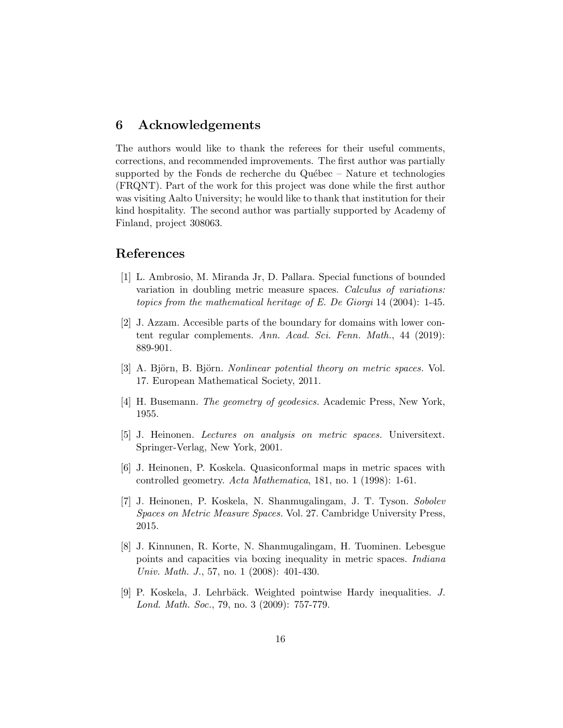### 6 Acknowledgements

The authors would like to thank the referees for their useful comments, corrections, and recommended improvements. The first author was partially supported by the Fonds de recherche du Québec – Nature et technologies (FRQNT). Part of the work for this project was done while the first author was visiting Aalto University; he would like to thank that institution for their kind hospitality. The second author was partially supported by Academy of Finland, project 308063.

#### <span id="page-15-2"></span>References

- [1] L. Ambrosio, M. Miranda Jr, D. Pallara. Special functions of bounded variation in doubling metric measure spaces. Calculus of variations: topics from the mathematical heritage of E. De Giorgi 14 (2004): 1-45.
- <span id="page-15-0"></span>[2] J. Azzam. Accesible parts of the boundary for domains with lower content regular complements. Ann. Acad. Sci. Fenn. Math., 44 (2019): 889-901.
- <span id="page-15-6"></span><span id="page-15-3"></span>[3] A. Björn, B. Björn. Nonlinear potential theory on metric spaces. Vol. 17. European Mathematical Society, 2011.
- <span id="page-15-5"></span>[4] H. Busemann. The geometry of geodesics. Academic Press, New York, 1955.
- [5] J. Heinonen. Lectures on analysis on metric spaces. Universitext. Springer-Verlag, New York, 2001.
- <span id="page-15-7"></span><span id="page-15-4"></span>[6] J. Heinonen, P. Koskela. Quasiconformal maps in metric spaces with controlled geometry. Acta Mathematica, 181, no. 1 (1998): 1-61.
- [7] J. Heinonen, P. Koskela, N. Shanmugalingam, J. T. Tyson. Sobolev Spaces on Metric Measure Spaces. Vol. 27. Cambridge University Press, 2015.
- <span id="page-15-8"></span>[8] J. Kinnunen, R. Korte, N. Shanmugalingam, H. Tuominen. Lebesgue points and capacities via boxing inequality in metric spaces. Indiana Univ. Math. J., 57, no. 1 (2008): 401-430.
- <span id="page-15-1"></span>[9] P. Koskela, J. Lehrbäck. Weighted pointwise Hardy inequalities. J. Lond. Math. Soc., 79, no. 3 (2009): 757-779.